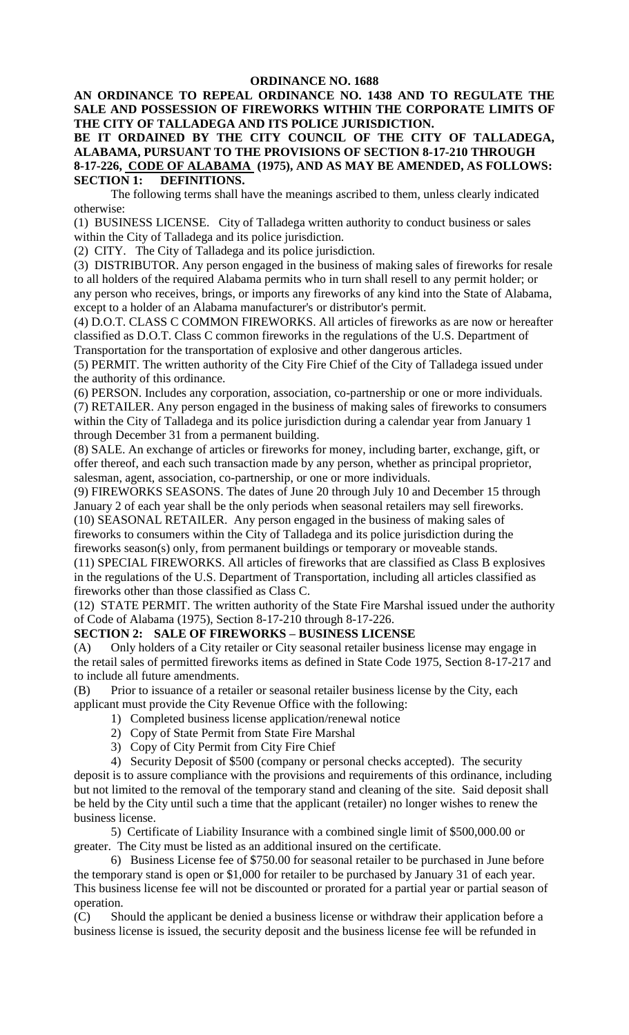#### **ORDINANCE NO. 1688**

**AN ORDINANCE TO REPEAL ORDINANCE NO. 1438 AND TO REGULATE THE SALE AND POSSESSION OF FIREWORKS WITHIN THE CORPORATE LIMITS OF THE CITY OF TALLADEGA AND ITS POLICE JURISDICTION.**

**BE IT ORDAINED BY THE CITY COUNCIL OF THE CITY OF TALLADEGA, ALABAMA, PURSUANT TO THE PROVISIONS OF SECTION 8-17-210 THROUGH 8-17-226, CODE OF ALABAMA (1975), AND AS MAY BE AMENDED, AS FOLLOWS: SECTION 1: DEFINITIONS.**

The following terms shall have the meanings ascribed to them, unless clearly indicated otherwise:

(1) BUSINESS LICENSE. City of Talladega written authority to conduct business or sales within the City of Talladega and its police jurisdiction.

(2) CITY. The City of Talladega and its police jurisdiction.

(3) DISTRIBUTOR. Any person engaged in the business of making sales of fireworks for resale to all holders of the required Alabama permits who in turn shall resell to any permit holder; or any person who receives, brings, or imports any fireworks of any kind into the State of Alabama, except to a holder of an Alabama manufacturer's or distributor's permit.

(4) D.O.T. CLASS C COMMON FIREWORKS. All articles of fireworks as are now or hereafter classified as D.O.T. Class C common fireworks in the regulations of the U.S. Department of Transportation for the transportation of explosive and other dangerous articles.

(5) PERMIT. The written authority of the City Fire Chief of the City of Talladega issued under the authority of this ordinance.

(6) PERSON. Includes any corporation, association, co-partnership or one or more individuals. (7) RETAILER. Any person engaged in the business of making sales of fireworks to consumers within the City of Talladega and its police jurisdiction during a calendar year from January 1 through December 31 from a permanent building.

(8) SALE. An exchange of articles or fireworks for money, including barter, exchange, gift, or offer thereof, and each such transaction made by any person, whether as principal proprietor, salesman, agent, association, co-partnership, or one or more individuals.

(9) FIREWORKS SEASONS. The dates of June 20 through July 10 and December 15 through January 2 of each year shall be the only periods when seasonal retailers may sell fireworks. (10) SEASONAL RETAILER. Any person engaged in the business of making sales of fireworks to consumers within the City of Talladega and its police jurisdiction during the

fireworks season(s) only, from permanent buildings or temporary or moveable stands.

(11) SPECIAL FIREWORKS. All articles of fireworks that are classified as Class B explosives in the regulations of the U.S. Department of Transportation, including all articles classified as fireworks other than those classified as Class C.

(12) STATE PERMIT. The written authority of the State Fire Marshal issued under the authority of Code of Alabama (1975), Section 8-17-210 through 8-17-226.

# **SECTION 2: SALE OF FIREWORKS – BUSINESS LICENSE**

(A) Only holders of a City retailer or City seasonal retailer business license may engage in the retail sales of permitted fireworks items as defined in State Code 1975, Section 8-17-217 and to include all future amendments.

(B) Prior to issuance of a retailer or seasonal retailer business license by the City, each applicant must provide the City Revenue Office with the following:

- 1) Completed business license application/renewal notice
- 2) Copy of State Permit from State Fire Marshal
- 3) Copy of City Permit from City Fire Chief

4) Security Deposit of \$500 (company or personal checks accepted). The security deposit is to assure compliance with the provisions and requirements of this ordinance, including but not limited to the removal of the temporary stand and cleaning of the site. Said deposit shall be held by the City until such a time that the applicant (retailer) no longer wishes to renew the business license.

5) Certificate of Liability Insurance with a combined single limit of \$500,000.00 or greater. The City must be listed as an additional insured on the certificate.

6) Business License fee of \$750.00 for seasonal retailer to be purchased in June before the temporary stand is open or \$1,000 for retailer to be purchased by January 31 of each year. This business license fee will not be discounted or prorated for a partial year or partial season of operation.

(C) Should the applicant be denied a business license or withdraw their application before a business license is issued, the security deposit and the business license fee will be refunded in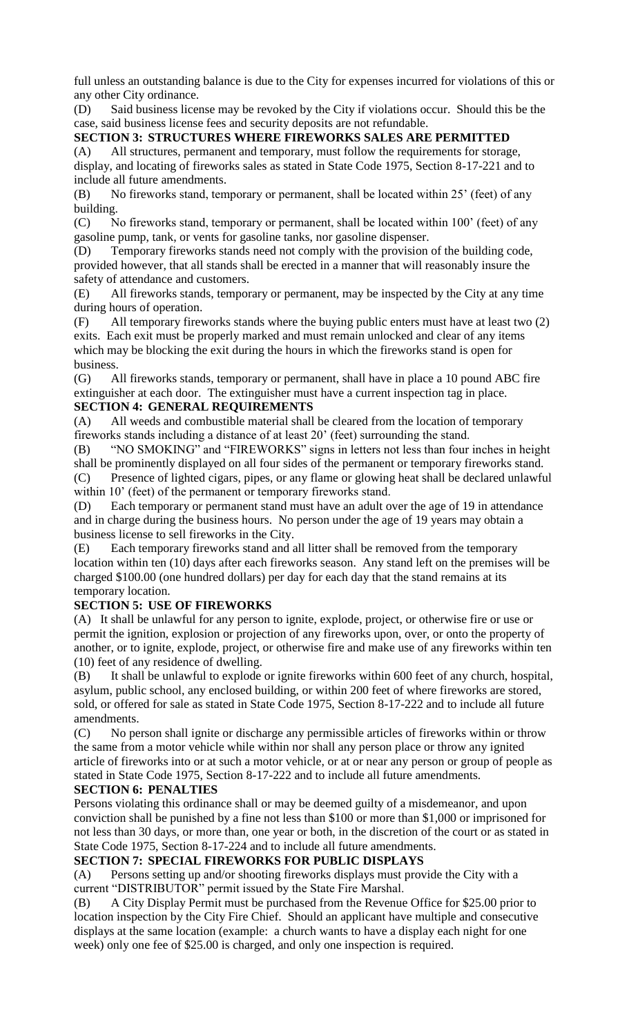full unless an outstanding balance is due to the City for expenses incurred for violations of this or any other City ordinance.

(D) Said business license may be revoked by the City if violations occur. Should this be the case, said business license fees and security deposits are not refundable.

#### **SECTION 3: STRUCTURES WHERE FIREWORKS SALES ARE PERMITTED**

(A) All structures, permanent and temporary, must follow the requirements for storage, display, and locating of fireworks sales as stated in State Code 1975, Section 8-17-221 and to include all future amendments.

(B) No fireworks stand, temporary or permanent, shall be located within 25' (feet) of any building.

(C) No fireworks stand, temporary or permanent, shall be located within 100' (feet) of any gasoline pump, tank, or vents for gasoline tanks, nor gasoline dispenser.

(D) Temporary fireworks stands need not comply with the provision of the building code, provided however, that all stands shall be erected in a manner that will reasonably insure the safety of attendance and customers.

(E) All fireworks stands, temporary or permanent, may be inspected by the City at any time during hours of operation.

(F) All temporary fireworks stands where the buying public enters must have at least two (2) exits. Each exit must be properly marked and must remain unlocked and clear of any items which may be blocking the exit during the hours in which the fireworks stand is open for business.

(G) All fireworks stands, temporary or permanent, shall have in place a 10 pound ABC fire extinguisher at each door. The extinguisher must have a current inspection tag in place. **SECTION 4: GENERAL REQUIREMENTS** 

(A) All weeds and combustible material shall be cleared from the location of temporary fireworks stands including a distance of at least 20' (feet) surrounding the stand.

(B) "NO SMOKING" and "FIREWORKS" signs in letters not less than four inches in height shall be prominently displayed on all four sides of the permanent or temporary fireworks stand.

(C) Presence of lighted cigars, pipes, or any flame or glowing heat shall be declared unlawful within 10' (feet) of the permanent or temporary fireworks stand.

(D) Each temporary or permanent stand must have an adult over the age of 19 in attendance and in charge during the business hours. No person under the age of 19 years may obtain a business license to sell fireworks in the City.

(E) Each temporary fireworks stand and all litter shall be removed from the temporary location within ten (10) days after each fireworks season. Any stand left on the premises will be charged \$100.00 (one hundred dollars) per day for each day that the stand remains at its temporary location.

# **SECTION 5: USE OF FIREWORKS**

(A) It shall be unlawful for any person to ignite, explode, project, or otherwise fire or use or permit the ignition, explosion or projection of any fireworks upon, over, or onto the property of another, or to ignite, explode, project, or otherwise fire and make use of any fireworks within ten (10) feet of any residence of dwelling.

(B) It shall be unlawful to explode or ignite fireworks within 600 feet of any church, hospital, asylum, public school, any enclosed building, or within 200 feet of where fireworks are stored, sold, or offered for sale as stated in State Code 1975, Section 8-17-222 and to include all future amendments.

(C) No person shall ignite or discharge any permissible articles of fireworks within or throw the same from a motor vehicle while within nor shall any person place or throw any ignited article of fireworks into or at such a motor vehicle, or at or near any person or group of people as stated in State Code 1975, Section 8-17-222 and to include all future amendments.

## **SECTION 6: PENALTIES**

Persons violating this ordinance shall or may be deemed guilty of a misdemeanor, and upon conviction shall be punished by a fine not less than \$100 or more than \$1,000 or imprisoned for not less than 30 days, or more than, one year or both, in the discretion of the court or as stated in State Code 1975, Section 8-17-224 and to include all future amendments.

## **SECTION 7: SPECIAL FIREWORKS FOR PUBLIC DISPLAYS**

(A) Persons setting up and/or shooting fireworks displays must provide the City with a current "DISTRIBUTOR" permit issued by the State Fire Marshal.

(B) A City Display Permit must be purchased from the Revenue Office for \$25.00 prior to location inspection by the City Fire Chief. Should an applicant have multiple and consecutive displays at the same location (example: a church wants to have a display each night for one week) only one fee of \$25.00 is charged, and only one inspection is required.